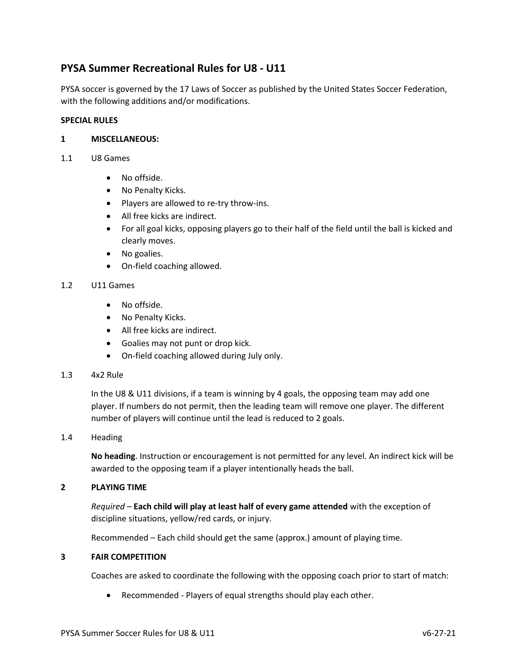# **PYSA Summer Recreational Rules for U8 ‐ U11**

PYSA soccer is governed by the 17 Laws of Soccer as published by the United States Soccer Federation, with the following additions and/or modifications.

### **SPECIAL RULES**

### **1 MISCELLANEOUS:**

- 1.1 U8 Games
	- No offside.
	- No Penalty Kicks.
	- Players are allowed to re‐try throw‐ins.
	- All free kicks are indirect.
	- For all goal kicks, opposing players go to their half of the field until the ball is kicked and clearly moves.
	- No goalies.
	- On-field coaching allowed.

#### 1.2 U11 Games

- No offside.
- No Penalty Kicks.
- All free kicks are indirect.
- Goalies may not punt or drop kick.
- On-field coaching allowed during July only.

#### 1.3 4x2 Rule

In the U8 & U11 divisions, if a team is winning by 4 goals, the opposing team may add one player. If numbers do not permit, then the leading team will remove one player. The different number of players will continue until the lead is reduced to 2 goals.

#### 1.4 Heading

**No heading**. Instruction or encouragement is not permitted for any level. An indirect kick will be awarded to the opposing team if a player intentionally heads the ball.

### **2 PLAYING TIME**

*Required* – **Each child will play at least half of every game attended** with the exception of discipline situations, yellow/red cards, or injury.

Recommended – Each child should get the same (approx.) amount of playing time.

## **3 FAIR COMPETITION**

Coaches are asked to coordinate the following with the opposing coach prior to start of match:

• Recommended ‐ Players of equal strengths should play each other.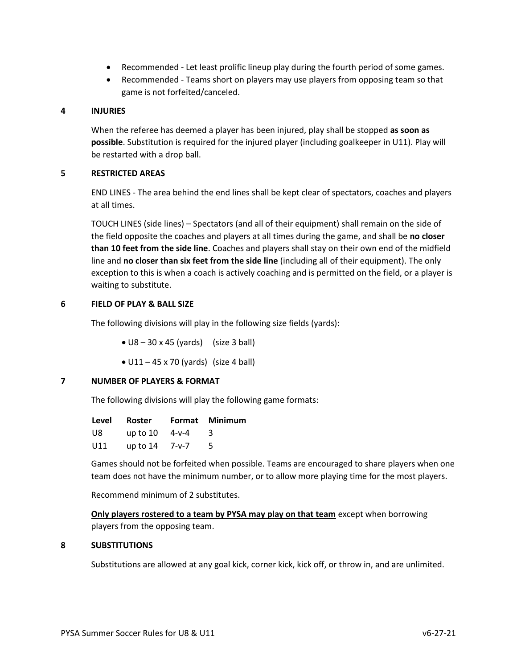- Recommended Let least prolific lineup play during the fourth period of some games.
- Recommended Teams short on players may use players from opposing team so that game is not forfeited/canceled.

### **4 INJURIES**

When the referee has deemed a player has been injured, play shall be stopped **as soon as possible**. Substitution is required for the injured player (including goalkeeper in U11). Play will be restarted with a drop ball.

## **5 RESTRICTED AREAS**

END LINES - The area behind the end lines shall be kept clear of spectators, coaches and players at all times.

TOUCH LINES (side lines) – Spectators (and all of their equipment) shall remain on the side of the field opposite the coaches and players at all times during the game, and shall be **no closer than 10 feet from the side line**. Coaches and players shall stay on their own end of the midfield line and **no closer than six feet from the side line** (including all of their equipment). The only exception to this is when a coach is actively coaching and is permitted on the field, or a player is waiting to substitute.

## **6 FIELD OF PLAY & BALL SIZE**

The following divisions will play in the following size fields (yards):

- $\bullet$  U8 30 x 45 (yards) (size 3 ball)
- $\bullet$  U11 45 x 70 (yards) (size 4 ball)

# **7 NUMBER OF PLAYERS & FORMAT**

The following divisions will play the following game formats:

| Level | Roster               | Format Minimum |
|-------|----------------------|----------------|
| U8    | up to $10 \, 4$ -v-4 | -3             |
| U11   | up to $14$ 7-v-7     | - 5.           |

Games should not be forfeited when possible. Teams are encouraged to share players when one team does not have the minimum number, or to allow more playing time for the most players.

Recommend minimum of 2 substitutes.

**Only players rostered to a team by PYSA may play on that team** except when borrowing players from the opposing team.

### **8 SUBSTITUTIONS**

Substitutions are allowed at any goal kick, corner kick, kick off, or throw in, and are unlimited.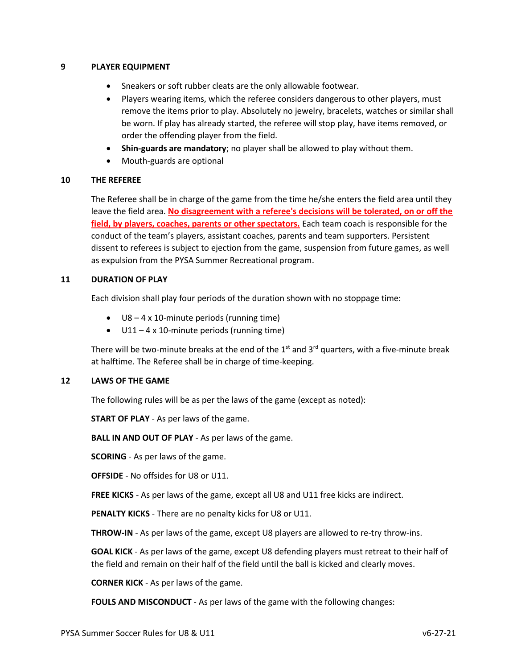### **9 PLAYER EQUIPMENT**

- Sneakers or soft rubber cleats are the only allowable footwear.
- Players wearing items, which the referee considers dangerous to other players, must remove the items prior to play. Absolutely no jewelry, bracelets, watches or similar shall be worn. If play has already started, the referee will stop play, have items removed, or order the offending player from the field.
- **Shin‐guards are mandatory**; no player shall be allowed to play without them.
- Mouth‐guards are optional

### **10 THE REFEREE**

The Referee shall be in charge of the game from the time he/she enters the field area until they leave the field area. **No disagreement with a referee's decisions will be tolerated, on or off the field, by players, coaches, parents or other spectators.** Each team coach is responsible for the conduct of the team's players, assistant coaches, parents and team supporters. Persistent dissent to referees is subject to ejection from the game, suspension from future games, as well as expulsion from the PYSA Summer Recreational program.

### **11 DURATION OF PLAY**

Each division shall play four periods of the duration shown with no stoppage time:

- U8 4 x 10-minute periods (running time)
- U11 4 x 10-minute periods (running time)

There will be two-minute breaks at the end of the 1<sup>st</sup> and 3<sup>rd</sup> quarters, with a five-minute break at halftime. The Referee shall be in charge of time‐keeping.

### **12 LAWS OF THE GAME**

The following rules will be as per the laws of the game (except as noted):

**START OF PLAY** - As per laws of the game.

**BALL IN AND OUT OF PLAY** - As per laws of the game.

**SCORING** - As per laws of the game.

**OFFSIDE** - No offsides for U8 or U11.

**FREE KICKS** - As per laws of the game, except all U8 and U11 free kicks are indirect.

**PENALTY KICKS** - There are no penalty kicks for U8 or U11.

**THROW-IN** - As per laws of the game, except U8 players are allowed to re-try throw-ins.

**GOAL KICK** - As per laws of the game, except U8 defending players must retreat to their half of the field and remain on their half of the field until the ball is kicked and clearly moves.

**CORNER KICK** - As per laws of the game.

**FOULS AND MISCONDUCT** - As per laws of the game with the following changes: